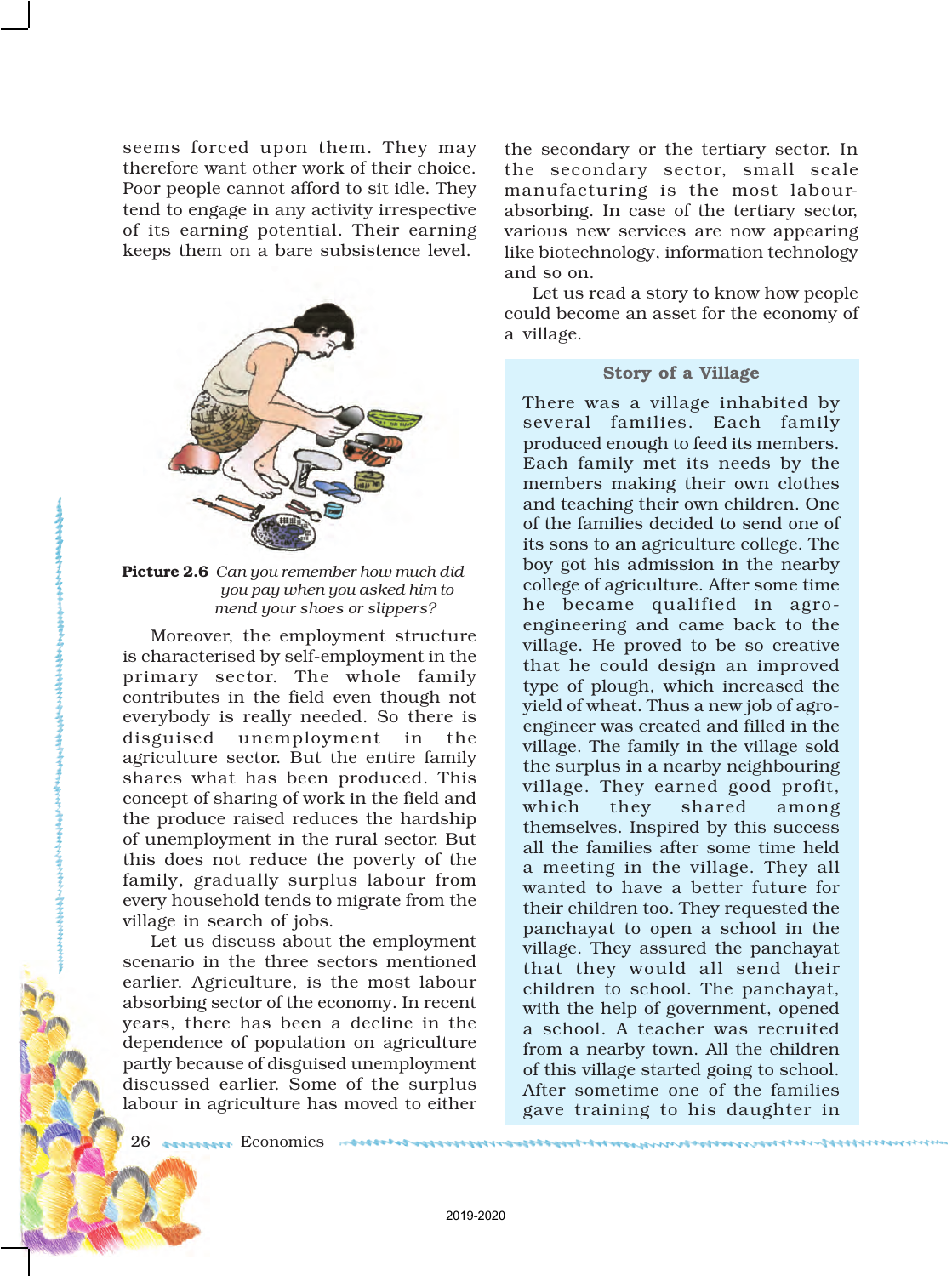seems forced upon them. They may therefore want other work of their choice. Poor people cannot afford to sit idle. They tend to engage in any activity irrespective of its earning potential. Their earning keeps them on a bare subsistence level.



Picture 2.6 Can you re *you pay when you asked him to* mend your

Moreover, the en is characterised by se primary sector. contributes in the fi everybody is really disguised unemp agriculture sector. **E** shares what has b concept of sharing of the produce raised reduces the hardwardship of  $\mathbf{r}$ 

of unemployment in the rural sector. But this does not reduce the poverty of the family, gradually surplus labour from every household tends to migrate from the village in search of jobs.

Let us discuss about the employment scenario in the three sectors mentioned earlier. Agriculture, is the most labour absorbing sector of the economy. In recent years, there has been a decline in the dependence of population on agriculture partly because of disguised unemployment discussed earlier. Some of the surplus labour in agriculture has moved to either the secondary or the tertiary sector. In the secondary sector, small scale manufacturing is the most labourabsorbing. In case of the tertiary sector, various new services are now appearing like biotechnology, information technology and so on.

Let us read a story to know how people could become an asset for the economy of a village.

## Story of a Village

There was a village inhabited by several families. Each family produced enough to feed its members. Each family met its needs by the members making their own clothes

> heir own children. One decided to send one of agriculture college. The dmission in the nearby culture. After some time qualified in agroind came back to the oved to be so creative d design an improved h, which increased the Thus a new job of agroereated and filled in the mily in the village sold a nearby neighbouring earned good profit, shared among ispired by this success.

all the families after some time held a meeting in the village. They all wanted to have a better future for their children too. They requested the panchayat to open a school in the village. They assured the panchayat that they would all send their children to school. The panchayat, with the help of government, opened a school. A teacher was recruited from a nearby town. All the children of this village started going to school. After sometime one of the families gave training to his daughter in

26 Economics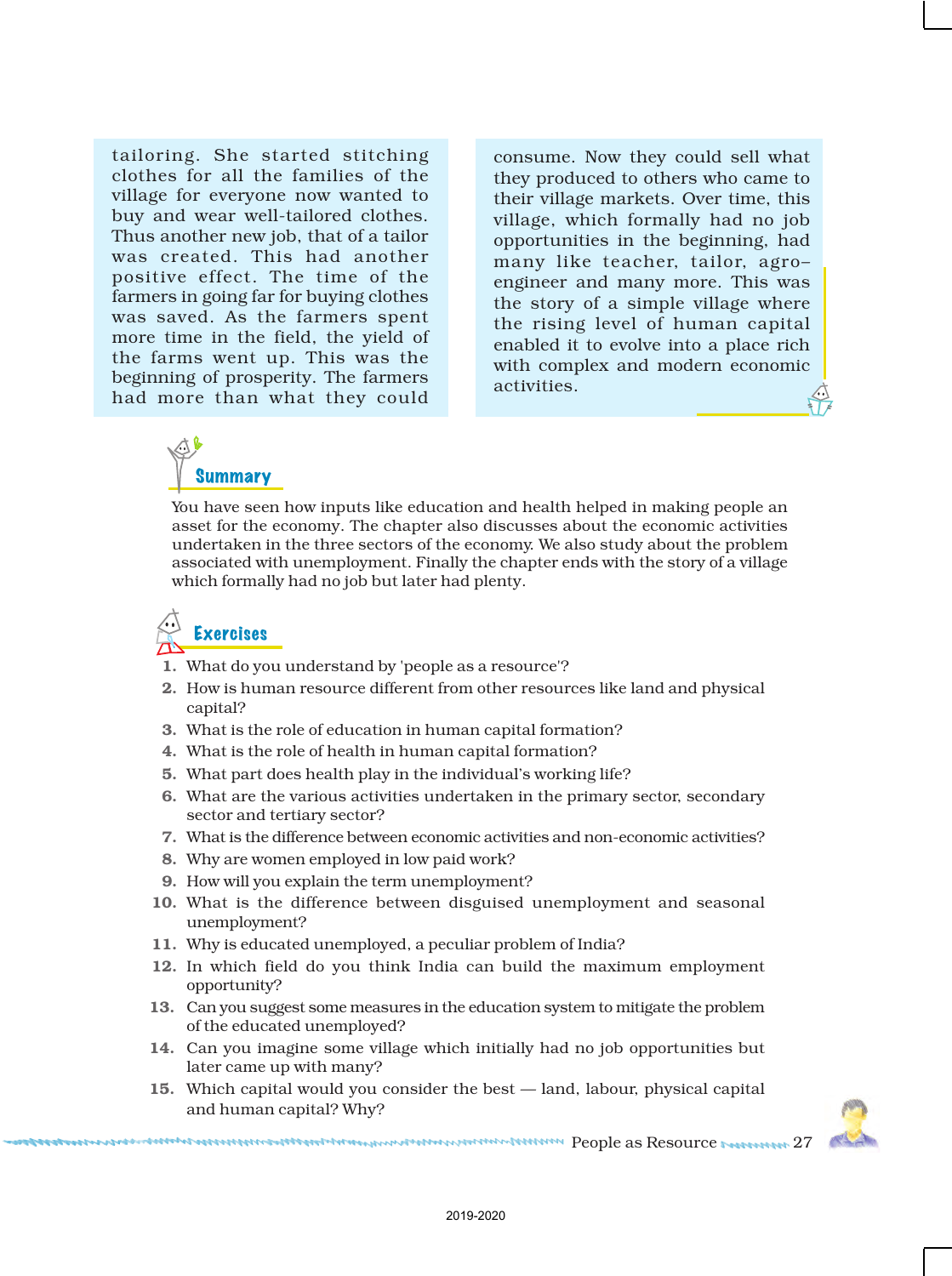tailoring. She started stitching clothes for all the families of the village for everyone now wanted to buy and wear well-tailored clothes. Thus another new job, that of a tailor was created. This had another positive effect. The time of the farmers in going far for buying clothes was saved. As the farmers spent more time in the field, the yield of the farms went up. This was the beginning of prosperity. The farmers had more than what they could

consume. Now they could sell what they produced to others who came to their village markets. Over time, this village, which formally had no job opportunities in the beginning, had many like teacher, tailor, agro– engineer and many more. This was the story of a simple village where the rising level of human capital enabled it to evolve into a place rich with complex and modern economic activities.

## **Summary**

You have seen how inputs like education and health helped in making people an asset for the economy. The chapter also discusses about the economic activities undertaken in the three sectors of the economy. We also study about the problem associated with unemployment. Finally the chapter ends with the story of a village which formally had no job but later had plenty.

## Exercises

- 1. What do you understand by 'people as a resource'?
- 2. How is human resource different from other resources like land and physical capital?
- 3. What is the role of education in human capital formation?
- 4. What is the role of health in human capital formation?
- 5. What part does health play in the individual's working life?
- 6. What are the various activities undertaken in the primary sector, secondary sector and tertiary sector?
- 7. What is the difference between economic activities and non-economic activities?
- 8. Why are women employed in low paid work?
- 9. How will you explain the term unemployment?
- 10. What is the difference between disguised unemployment and seasonal unemployment?
- 11. Why is educated unemployed, a peculiar problem of India?
- 12. In which field do you think India can build the maximum employment opportunity?
- 13. Can you suggest some measures in the education system to mitigate the problem of the educated unemployed?
- 14. Can you imagine some village which initially had no job opportunities but later came up with many?
- 15. Which capital would you consider the best land, labour, physical capital and human capital? Why?



Additional Construction of the construction of the construction of the construction as a Resource and DT 27 and